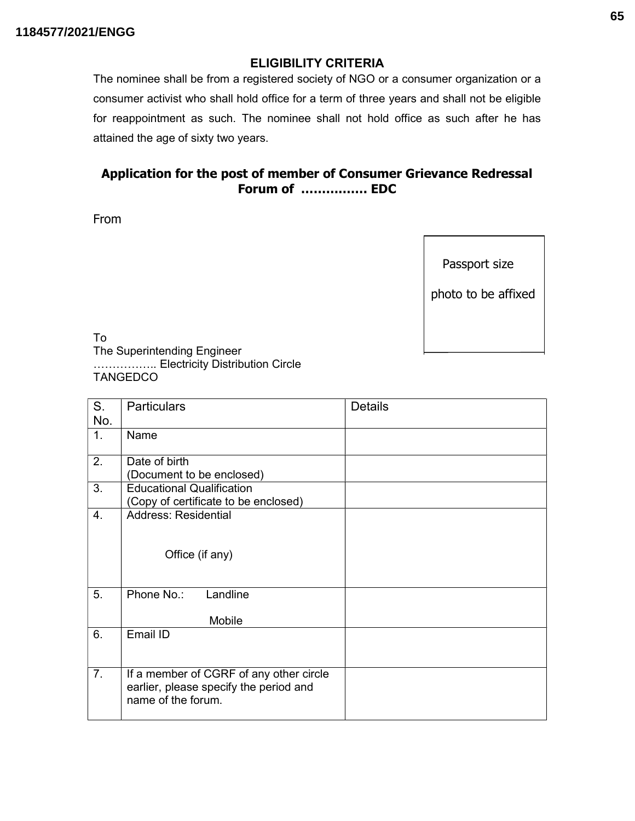## ELIGIBILITY CRITERIA

The nominee shall be from a registered society of NGO or a consumer organization or a consumer activist who shall hold office for a term of three years and shall not be eligible for reappointment as such. The nominee shall not hold office as such after he has attained the age of sixty two years.

## Application for the post of member of Consumer Grievance Redressal Forum of ……………. EDC

From

Passport size

photo to be affixed

To The Superintending Engineer …………….. Electricity Distribution Circle **TANGEDCO** 

| S.<br>No. | <b>Particulars</b>                                                                                      | <b>Details</b> |
|-----------|---------------------------------------------------------------------------------------------------------|----------------|
| 1.        | Name                                                                                                    |                |
| 2.        | Date of birth<br>(Document to be enclosed)                                                              |                |
| 3.        | <b>Educational Qualification</b><br>(Copy of certificate to be enclosed)                                |                |
| 4.        | <b>Address: Residential</b><br>Office (if any)                                                          |                |
| 5.        | Phone No.:<br>Landline<br>Mobile                                                                        |                |
| 6.        | Email ID                                                                                                |                |
| 7.        | If a member of CGRF of any other circle<br>earlier, please specify the period and<br>name of the forum. |                |